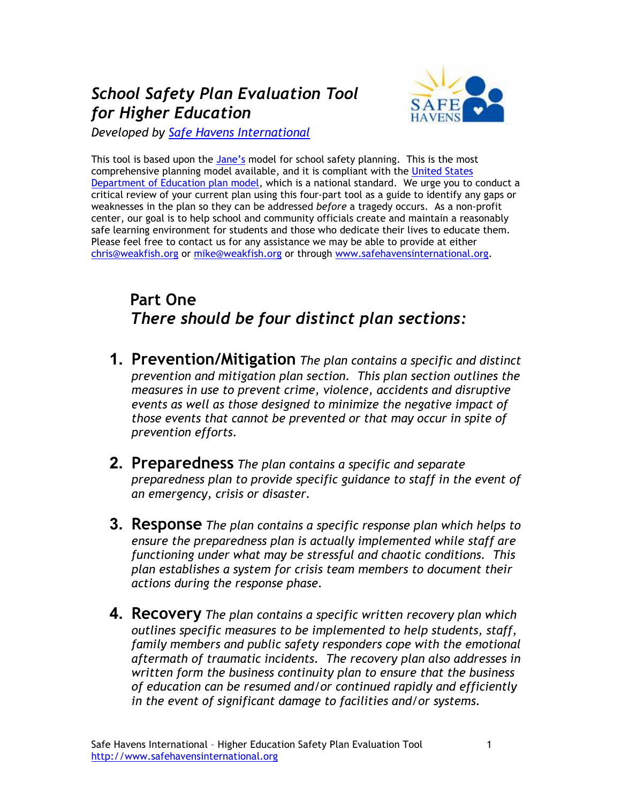## School Safety Plan Evaluation Tool for Higher Education



Developed by Safe Havens International

This tool is based upon the Jane's model for school safety planning. This is the most comprehensive planning model available, and it is compliant with the United States Department of Education plan model, which is a national standard. We urge you to conduct a critical review of your current plan using this four-part tool as a guide to identify any gaps or weaknesses in the plan so they can be addressed before a tragedy occurs. As a non-profit center, our goal is to help school and community officials create and maintain a reasonably safe learning environment for students and those who dedicate their lives to educate them. Please feel free to contact us for any assistance we may be able to provide at either chris@weakfish.org or mike@weakfish.org or through www.safehavensinternational.org.

### Part One There should be four distinct plan sections:

- **1. Prevention/Mitigation** The plan contains a specific and distinct prevention and mitigation plan section. This plan section outlines the measures in use to prevent crime, violence, accidents and disruptive events as well as those designed to minimize the negative impact of those events that cannot be prevented or that may occur in spite of prevention efforts.
- 2. Preparedness The plan contains a specific and separate preparedness plan to provide specific guidance to staff in the event of an emergency, crisis or disaster.
- **3. Response** The plan contains a specific response plan which helps to ensure the preparedness plan is actually implemented while staff are functioning under what may be stressful and chaotic conditions. This plan establishes a system for crisis team members to document their actions during the response phase.
- **4. Recovery** The plan contains a specific written recovery plan which outlines specific measures to be implemented to help students, staff, family members and public safety responders cope with the emotional aftermath of traumatic incidents. The recovery plan also addresses in written form the business continuity plan to ensure that the business of education can be resumed and/or continued rapidly and efficiently in the event of significant damage to facilities and/or systems.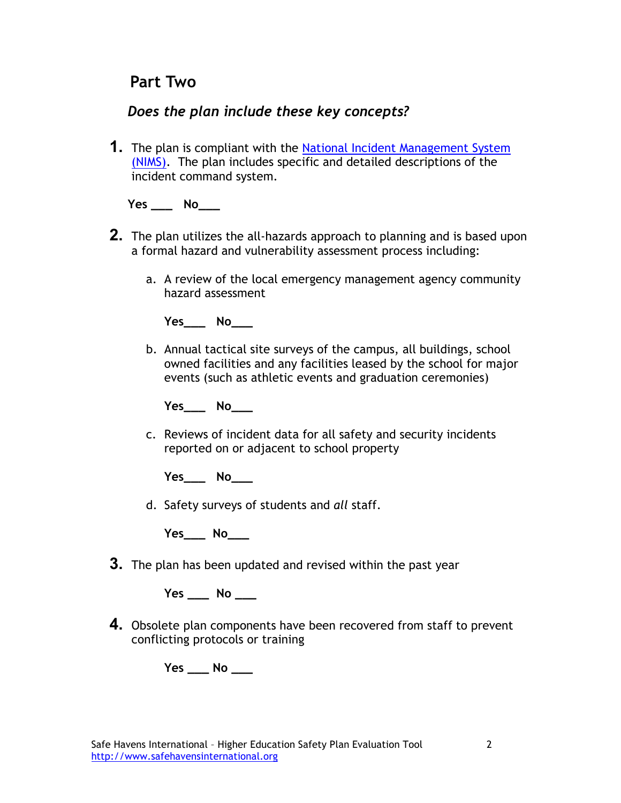### Part Two

### Does the plan include these key concepts?

**1.** The plan is compliant with the National Incident Management System (NIMS). The plan includes specific and detailed descriptions of the incident command system.

#### $Yes$  No $\_\_$

- **2.** The plan utilizes the all-hazards approach to planning and is based upon a formal hazard and vulnerability assessment process including:
	- a. A review of the local emergency management agency community hazard assessment

Yes\_\_\_ No

b. Annual tactical site surveys of the campus, all buildings, school owned facilities and any facilities leased by the school for major events (such as athletic events and graduation ceremonies)

Yes\_\_\_\_ No\_\_\_\_

c. Reviews of incident data for all safety and security incidents reported on or adjacent to school property

 $Yes$  No

d. Safety surveys of students and all staff.

Yes\_\_\_\_ No\_\_\_\_

**3.** The plan has been updated and revised within the past year

 $Yes$  No \_\_\_\_\_

4. Obsolete plan components have been recovered from staff to prevent conflicting protocols or training

 $Yes$  No \_\_\_\_\_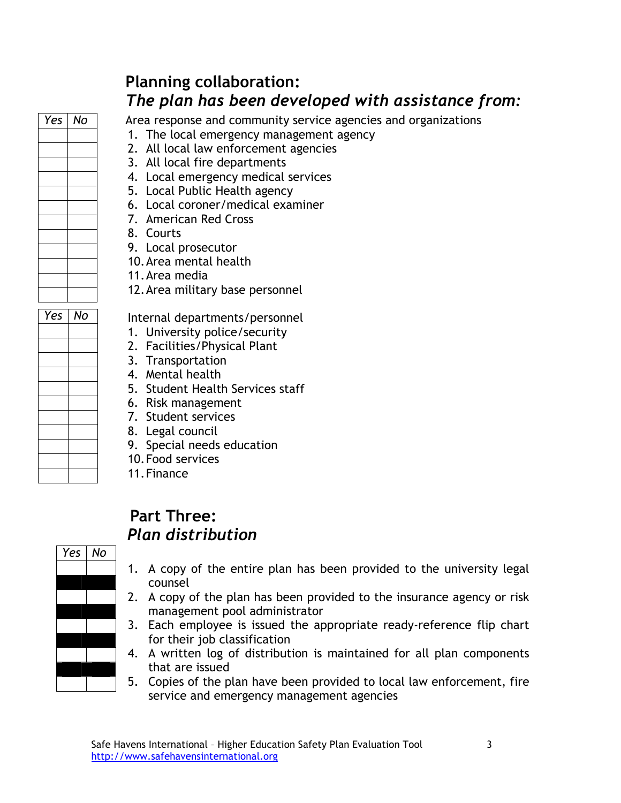| Yes | No |
|-----|----|
|     |    |
|     |    |
|     |    |
|     |    |
|     |    |
|     |    |
|     |    |
|     |    |
|     |    |
|     |    |
|     |    |
|     |    |

### Yes | No ֪ׅ֚֞֬֝֬֝֬֝֬֝֬֝֬֝֬֝֬֝֬֝֬֝֬֝֬֝֬֝֬֝֬֝ ֪ׅ֚֞֬֝֬֝֬֝֬֝֬֝֬֝֬֝֬֝֬֝֬֝֬֝֬֝֬֝֬֝֬֝ ֪ׅ֚֞֬֝֬֝֬֝֬֝֬֝֬֝֬֝֬֝֬֝֬֝֬֝֬֝֬֝֬֝֬֝ ֪ׅ֚֞֬֝֬֝֬֝֬֝֬֝֬֝֬֝֬֝֬֝֬֝֬֝֬֝֬֝֬֝֬֝ ֪ׅ֚֞֬֝֬֝֬֝֬֝֬֝֬֝֬֝֬֝֬֝֬֝֬֝֬֝֬֝֬֝֬֝ ٦ ֪ׅ֚֞֬֝֬֝֬֝֬֝֬֝֬֝֬֝֬֝֬֝֬֝֬֝֬֝֬֝֬֝֬֝ ֪ׅ֚֞֬֝֬֝֬֝֬֝֬֝֬֝֬֝֬֝֬֝֬֝֬֝֬֝֬֝֬֝֬֝ ֪ׅ֚֞֬֝֬֝֬֝֬֝֬֝֬֝֬֝֬֝֬֝֬֝֬֝֬֝֬֝֬֝֬֝

֪ׅ֚֞֬֝֬֝֬֝֬֝֬֝֬֝֬֝֬֝֬֝֬֝֬֝֬֝֬֝֬֝֬֝ ֪ׅ֚֞֬֝֬֝֬֝֬֝֬֝֬֝֬֝֬֝֬֝֬֝֬֝֬֝֬֝֬֝֬֝

# Planning collaboration: The plan has been developed with assistance from:

Area response and community service agencies and organizations

- 1. The local emergency management agency
- 2. All local law enforcement agencies
- 3. All local fire departments
- 4. Local emergency medical services
- 5. Local Public Health agency
- 6. Local coroner/medical examiner
- 7. American Red Cross
- 8. Courts
- 9. Local prosecutor
- 10.Area mental health
- 11.Area media
- 12.Area military base personnel

Internal departments/personnel

- 1. University police/security
- 2. Facilities/Physical Plant
- 3. Transportation
- 4. Mental health
- 5. Student Health Services staff
- 6. Risk management
- 7. Student services
- 8. Legal council
- 9. Special needs education
- 10.Food services
- 11.Finance

## Part Three: Plan distribution



- 1. A copy of the entire plan has been provided to the university legal counsel
- 2. A copy of the plan has been provided to the insurance agency or risk management pool administrator
- 3. Each employee is issued the appropriate ready-reference flip chart for their job classification
- 4. A written log of distribution is maintained for all plan components that are issued
- 5. Copies of the plan have been provided to local law enforcement, fire service and emergency management agencies